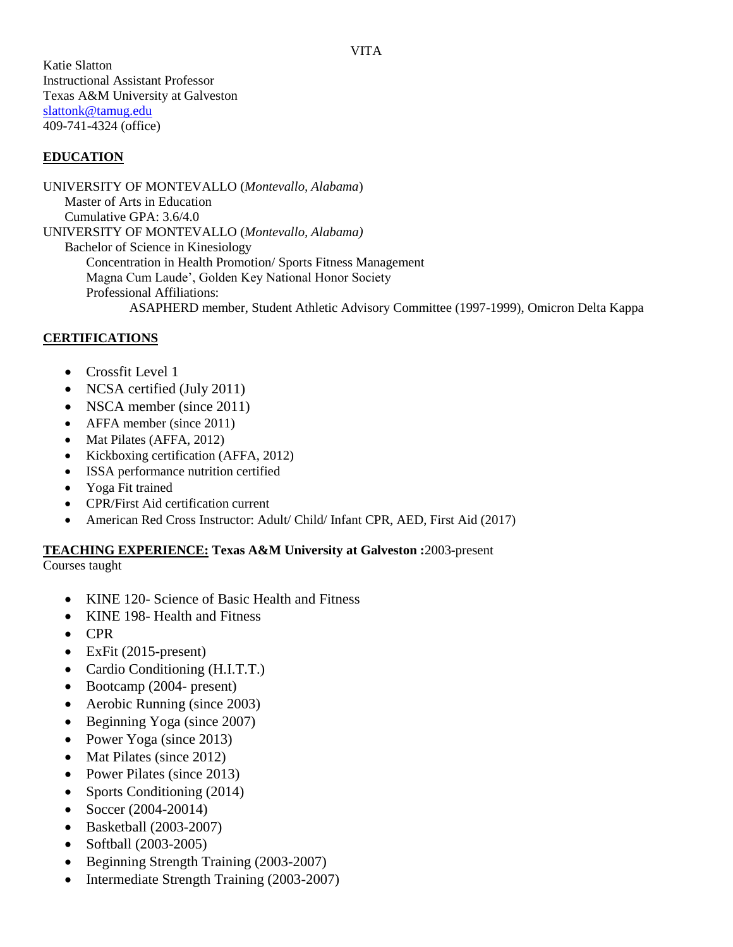Katie Slatton Instructional Assistant Professor Texas A&M University at Galveston [slattonk@tamug.edu](mailto:slattonk@tamug.edu) 409-741-4324 (office)

#### **EDUCATION**

UNIVERSITY OF MONTEVALLO (*Montevallo, Alabama*) Master of Arts in Education Cumulative GPA: 3.6/4.0 UNIVERSITY OF MONTEVALLO (*Montevallo, Alabama)* Bachelor of Science in Kinesiology Concentration in Health Promotion/ Sports Fitness Management Magna Cum Laude', Golden Key National Honor Society Professional Affiliations: ASAPHERD member, Student Athletic Advisory Committee (1997-1999), Omicron Delta Kappa

#### **CERTIFICATIONS**

- Crossfit Level 1
- NCSA certified (July 2011)
- NSCA member (since 2011)
- AFFA member (since 2011)
- Mat Pilates (AFFA, 2012)
- Kickboxing certification (AFFA, 2012)
- ISSA performance nutrition certified
- Yoga Fit trained
- CPR/First Aid certification current
- American Red Cross Instructor: Adult/ Child/ Infant CPR, AED, First Aid (2017)

#### **TEACHING EXPERIENCE: Texas A&M University at Galveston :**2003-present

Courses taught

- KINE 120- Science of Basic Health and Fitness
- KINE 198- Health and Fitness
- CPR
- $\bullet$  ExFit (2015-present)
- Cardio Conditioning (H.I.T.T.)
- Bootcamp (2004- present)
- Aerobic Running (since 2003)
- Beginning Yoga (since 2007)
- Power Yoga (since 2013)
- Mat Pilates (since 2012)
- Power Pilates (since 2013)
- Sports Conditioning (2014)
- Soccer (2004-20014)
- Basketball (2003-2007)
- Softball (2003-2005)
- Beginning Strength Training (2003-2007)
- Intermediate Strength Training (2003-2007)